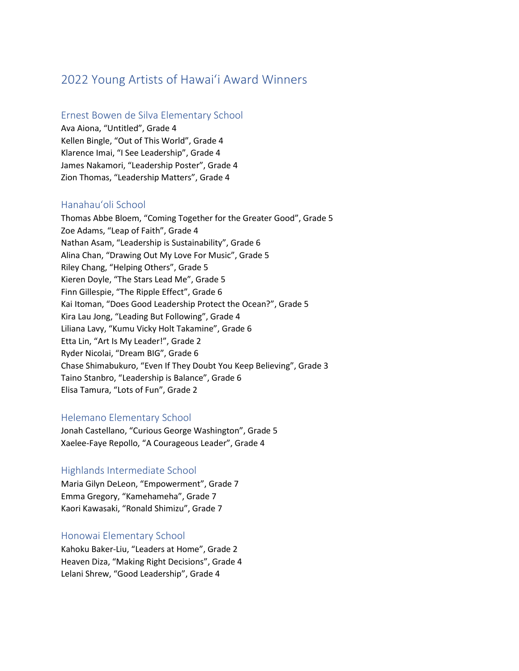# 2022 Young Artists of Hawaiʻi Award Winners

## Ernest Bowen de Silva Elementary School

Ava Aiona, "Untitled", Grade 4 Kellen Bingle, "Out of This World", Grade 4 Klarence Imai, "I See Leadership", Grade 4 James Nakamori, "Leadership Poster", Grade 4 Zion Thomas, "Leadership Matters", Grade 4

## Hanahauʻoli School

Thomas Abbe Bloem, "Coming Together for the Greater Good", Grade 5 Zoe Adams, "Leap of Faith", Grade 4 Nathan Asam, "Leadership is Sustainability", Grade 6 Alina Chan, "Drawing Out My Love For Music", Grade 5 Riley Chang, "Helping Others", Grade 5 Kieren Doyle, "The Stars Lead Me", Grade 5 Finn Gillespie, "The Ripple Effect", Grade 6 Kai Itoman, "Does Good Leadership Protect the Ocean?", Grade 5 Kira Lau Jong, "Leading But Following", Grade 4 Liliana Lavy, "Kumu Vicky Holt Takamine", Grade 6 Etta Lin, "Art Is My Leader!", Grade 2 Ryder Nicolai, "Dream BIG", Grade 6 Chase Shimabukuro, "Even If They Doubt You Keep Believing", Grade 3 Taino Stanbro, "Leadership is Balance", Grade 6 Elisa Tamura, "Lots of Fun", Grade 2

## Helemano Elementary School

Jonah Castellano, "Curious George Washington", Grade 5 Xaelee-Faye Repollo, "A Courageous Leader", Grade 4

#### Highlands Intermediate School

Maria Gilyn DeLeon, "Empowerment", Grade 7 Emma Gregory, "Kamehameha", Grade 7 Kaori Kawasaki, "Ronald Shimizu", Grade 7

#### Honowai Elementary School

Kahoku Baker-Liu, "Leaders at Home", Grade 2 Heaven Diza, "Making Right Decisions", Grade 4 Lelani Shrew, "Good Leadership", Grade 4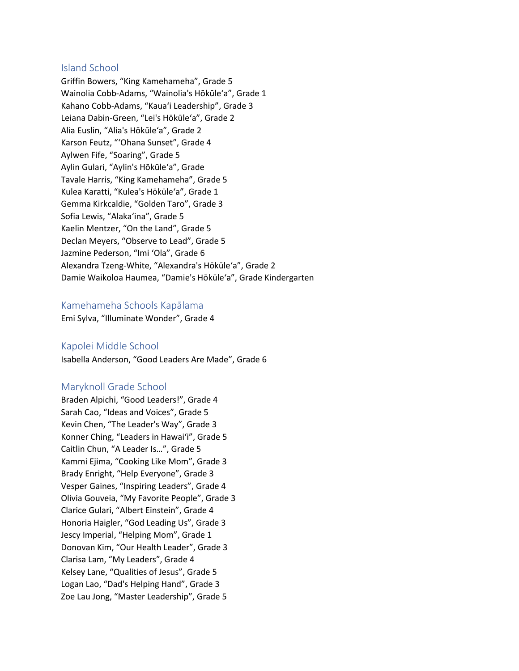### Island School

Griffin Bowers, "King Kamehameha", Grade 5 Wainolia Cobb-Adams, "Wainolia's Hōkūle'a", Grade 1 Kahano Cobb-Adams, "Kaua'i Leadership", Grade 3 Leiana Dabin-Green, "Lei's Hōkūle'a", Grade 2 Alia Euslin, "Alia's Hōkūle'a", Grade 2 Karson Feutz, "'Ohana Sunset", Grade 4 Aylwen Fife, "Soaring", Grade 5 Aylin Gulari, "Aylin's Hōkūle'a", Grade Tavale Harris, "King Kamehameha", Grade 5 Kulea Karatti, "Kulea's Hōkūle'a", Grade 1 Gemma Kirkcaldie, "Golden Taro", Grade 3 Sofia Lewis, "Alaka'ina", Grade 5 Kaelin Mentzer, "On the Land", Grade 5 Declan Meyers, "Observe to Lead", Grade 5 Jazmine Pederson, "Imi 'Ola", Grade 6 Alexandra Tzeng-White, "Alexandra's Hōkūle'a", Grade 2 Damie Waikoloa Haumea, "Damie's Hōkūle'a", Grade Kindergarten

#### Kamehameha Schools Kapālama

Emi Sylva, "Illuminate Wonder", Grade 4

## Kapolei Middle School

Isabella Anderson, "Good Leaders Are Made", Grade 6

## Maryknoll Grade School

Braden Alpichi, "Good Leaders!", Grade 4 Sarah Cao, "Ideas and Voices", Grade 5 Kevin Chen, "The Leader's Way", Grade 3 Konner Ching, "Leaders in Hawai'i", Grade 5 Caitlin Chun, "A Leader Is…", Grade 5 Kammi Ejima, "Cooking Like Mom", Grade 3 Brady Enright, "Help Everyone", Grade 3 Vesper Gaines, "Inspiring Leaders", Grade 4 Olivia Gouveia, "My Favorite People", Grade 3 Clarice Gulari, "Albert Einstein", Grade 4 Honoria Haigler, "God Leading Us", Grade 3 Jescy Imperial, "Helping Mom", Grade 1 Donovan Kim, "Our Health Leader", Grade 3 Clarisa Lam, "My Leaders", Grade 4 Kelsey Lane, "Qualities of Jesus", Grade 5 Logan Lao, "Dad's Helping Hand", Grade 3 Zoe Lau Jong, "Master Leadership", Grade 5